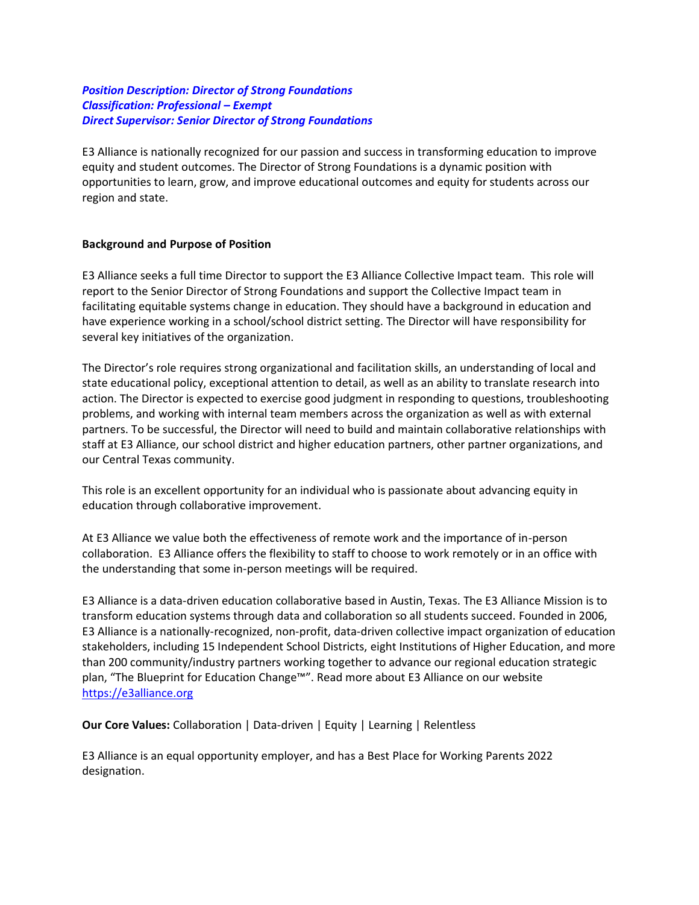# *Position Description: Director of Strong Foundations Classification: Professional – Exempt Direct Supervisor: Senior Director of Strong Foundations*

E3 Alliance is nationally recognized for our passion and success in transforming education to improve equity and student outcomes. The Director of Strong Foundations is a dynamic position with opportunities to learn, grow, and improve educational outcomes and equity for students across our region and state.

#### **Background and Purpose of Position**

E3 Alliance seeks a full time Director to support the E3 Alliance Collective Impact team. This role will report to the Senior Director of Strong Foundations and support the Collective Impact team in facilitating equitable systems change in education. They should have a background in education and have experience working in a school/school district setting. The Director will have responsibility for several key initiatives of the organization.

The Director's role requires strong organizational and facilitation skills, an understanding of local and state educational policy, exceptional attention to detail, as well as an ability to translate research into action. The Director is expected to exercise good judgment in responding to questions, troubleshooting problems, and working with internal team members across the organization as well as with external partners. To be successful, the Director will need to build and maintain collaborative relationships with staff at E3 Alliance, our school district and higher education partners, other partner organizations, and our Central Texas community.

This role is an excellent opportunity for an individual who is passionate about advancing equity in education through collaborative improvement.

At E3 Alliance we value both the effectiveness of remote work and the importance of in-person collaboration. E3 Alliance offers the flexibility to staff to choose to work remotely or in an office with the understanding that some in-person meetings will be required.

E3 Alliance is a data-driven education collaborative based in Austin, Texas. The E3 Alliance Mission is to transform education systems through data and collaboration so all students succeed. Founded in 2006, E3 Alliance is a nationally-recognized, non-profit, data-driven collective impact organization of education stakeholders, including 15 Independent School Districts, eight Institutions of Higher Education, and more than 200 community/industry partners working together to advance our regional education strategic plan, "The Blueprint for Education Change™". Read more about E3 Alliance on our website [https://e3alliance.org](https://e3alliance.org/)

**Our Core Values:** Collaboration | Data-driven | Equity | Learning | Relentless

E3 Alliance is an equal opportunity employer, and has a Best Place for Working Parents 2022 designation.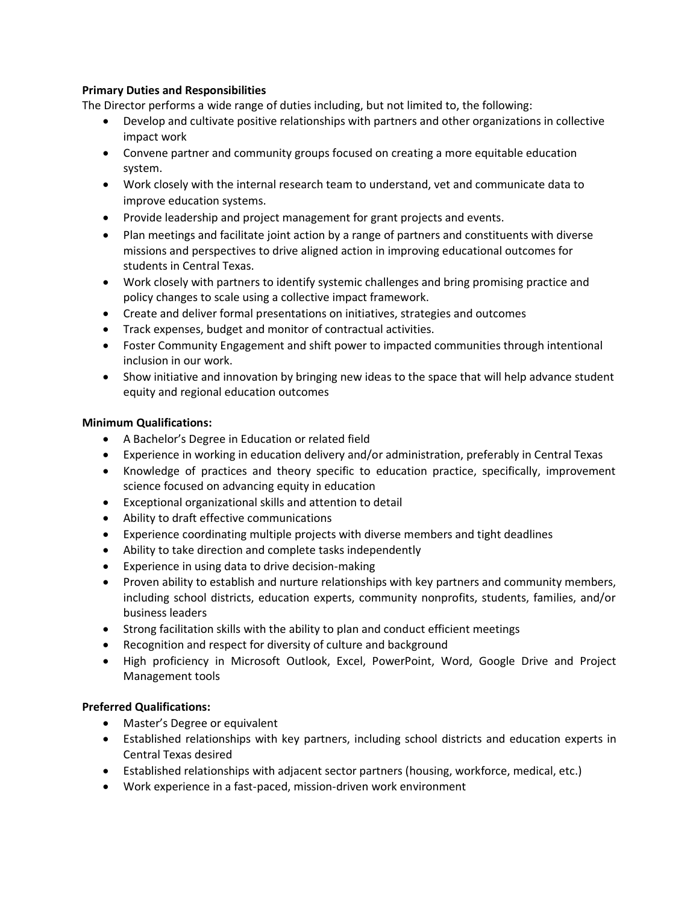# **Primary Duties and Responsibilities**

The Director performs a wide range of duties including, but not limited to, the following:

- Develop and cultivate positive relationships with partners and other organizations in collective impact work
- Convene partner and community groups focused on creating a more equitable education system.
- Work closely with the internal research team to understand, vet and communicate data to improve education systems.
- Provide leadership and project management for grant projects and events.
- Plan meetings and facilitate joint action by a range of partners and constituents with diverse missions and perspectives to drive aligned action in improving educational outcomes for students in Central Texas.
- Work closely with partners to identify systemic challenges and bring promising practice and policy changes to scale using a collective impact framework.
- Create and deliver formal presentations on initiatives, strategies and outcomes
- Track expenses, budget and monitor of contractual activities.
- Foster Community Engagement and shift power to impacted communities through intentional inclusion in our work.
- Show initiative and innovation by bringing new ideas to the space that will help advance student equity and regional education outcomes

#### **Minimum Qualifications:**

- A Bachelor's Degree in Education or related field
- Experience in working in education delivery and/or administration, preferably in Central Texas
- Knowledge of practices and theory specific to education practice, specifically, improvement science focused on advancing equity in education
- Exceptional organizational skills and attention to detail
- Ability to draft effective communications
- Experience coordinating multiple projects with diverse members and tight deadlines
- Ability to take direction and complete tasks independently
- Experience in using data to drive decision-making
- Proven ability to establish and nurture relationships with key partners and community members, including school districts, education experts, community nonprofits, students, families, and/or business leaders
- Strong facilitation skills with the ability to plan and conduct efficient meetings
- Recognition and respect for diversity of culture and background
- High proficiency in Microsoft Outlook, Excel, PowerPoint, Word, Google Drive and Project Management tools

#### **Preferred Qualifications:**

- Master's Degree or equivalent
- Established relationships with key partners, including school districts and education experts in Central Texas desired
- Established relationships with adjacent sector partners (housing, workforce, medical, etc.)
- Work experience in a fast-paced, mission-driven work environment